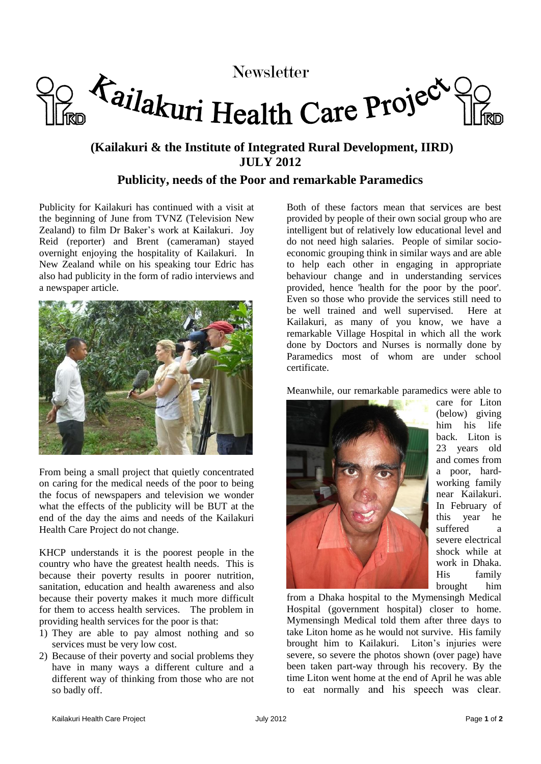

# Newsletter<br>Tailakuri Health Care Project

# **(Kailakuri & the Institute of Integrated Rural Development, IIRD) JULY 2012**

## **Publicity, needs of the Poor and remarkable Paramedics**

Publicity for Kailakuri has continued with a visit at the beginning of June from TVNZ (Television New Zealand) to film Dr Baker's work at Kailakuri. Joy Reid (reporter) and Brent (cameraman) stayed overnight enjoying the hospitality of Kailakuri. In New Zealand while on his speaking tour Edric has also had publicity in the form of radio interviews and a newspaper article.



From being a small project that quietly concentrated on caring for the medical needs of the poor to being the focus of newspapers and television we wonder what the effects of the publicity will be BUT at the end of the day the aims and needs of the Kailakuri Health Care Project do not change.

KHCP understands it is the poorest people in the country who have the greatest health needs. This is because their poverty results in poorer nutrition, sanitation, education and health awareness and also because their poverty makes it much more difficult for them to access health services. The problem in providing health services for the poor is that:

- 1) They are able to pay almost nothing and so services must be very low cost.
- 2) Because of their poverty and social problems they have in many ways a different culture and a different way of thinking from those who are not so badly off.

Both of these factors mean that services are best provided by people of their own social group who are intelligent but of relatively low educational level and do not need high salaries. People of similar socioeconomic grouping think in similar ways and are able to help each other in engaging in appropriate behaviour change and in understanding services provided, hence 'health for the poor by the poor'. Even so those who provide the services still need to be well trained and well supervised. Here at Kailakuri, as many of you know, we have a remarkable Village Hospital in which all the work done by Doctors and Nurses is normally done by Paramedics most of whom are under school certificate.

Meanwhile, our remarkable paramedics were able to



care for Liton (below) giving him his life back. Liton is 23 years old and comes from a poor, hardworking family near Kailakuri. In February of this year he suffered a severe electrical shock while at work in Dhaka. His family brought him

from a Dhaka hospital to the Mymensingh Medical Hospital (government hospital) closer to home. Mymensingh Medical told them after three days to take Liton home as he would not survive. His family brought him to Kailakuri. Liton's injuries were severe, so severe the photos shown (over page) have been taken part-way through his recovery. By the time Liton went home at the end of April he was able to eat normally and his speech was clear.